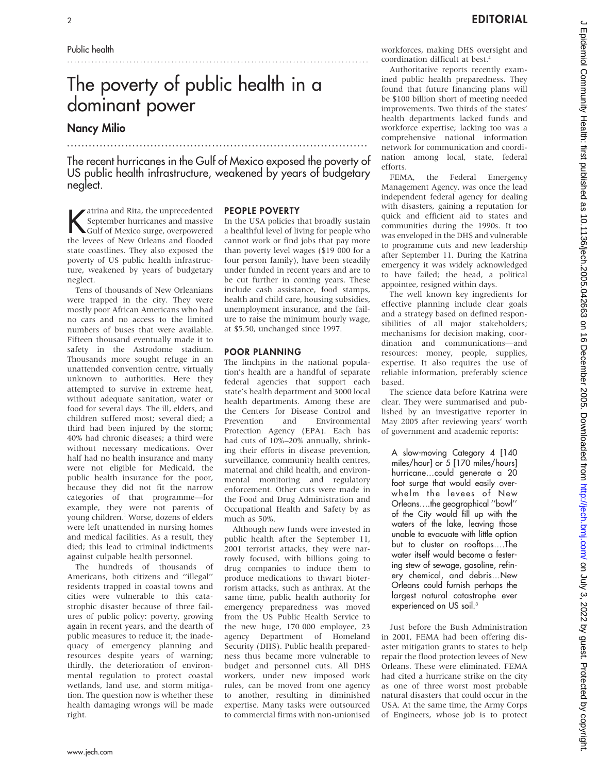# The poverty of public health in a dominant power

## Nancy Milio

The recent hurricanes in the Gulf of Mexico exposed the poverty of US public health infrastructure, weakened by years of budgetary neglect.

...................................................................................

.......................................................................................

Katrina and Rita, the unprecedented<br>
September hurricanes and massive<br>
Gulf of Mexico surge, overpowered<br>
the layers of Navy Osland one and floaded A atrina and Rita, the unprecedented<br>September hurricanes and massive the levees of New Orleans and flooded state coastlines. They also exposed the poverty of US public health infrastructure, weakened by years of budgetary neglect.

Tens of thousands of New Orleanians were trapped in the city. They were mostly poor African Americans who had no cars and no access to the limited numbers of buses that were available. Fifteen thousand eventually made it to safety in the Astrodome stadium. Thousands more sought refuge in an unattended convention centre, virtually unknown to authorities. Here they attempted to survive in extreme heat, without adequate sanitation, water or food for several days. The ill, elders, and children suffered most; several died; a third had been injured by the storm; 40% had chronic diseases; a third were without necessary medications. Over half had no health insurance and many were not eligible for Medicaid, the public health insurance for the poor, because they did not fit the narrow categories of that programme—for example, they were not parents of young children.<sup>1</sup> Worse, dozens of elders were left unattended in nursing homes and medical facilities. As a result, they died; this lead to criminal indictments against culpable health personnel.

The hundreds of thousands of Americans, both citizens and ''illegal'' residents trapped in coastal towns and cities were vulnerable to this catastrophic disaster because of three failures of public policy: poverty, growing again in recent years, and the dearth of public measures to reduce it; the inadequacy of emergency planning and resources despite years of warning; thirdly, the deterioration of environmental regulation to protect coastal wetlands, land use, and storm mitigation. The question now is whether these health damaging wrongs will be made right.

#### PEOPLE POVERTY

In the USA policies that broadly sustain a healthful level of living for people who cannot work or find jobs that pay more than poverty level wages (\$19 000 for a four person family), have been steadily under funded in recent years and are to be cut further in coming years. These include cash assistance, food stamps, health and child care, housing subsidies, unemployment insurance, and the failure to raise the minimum hourly wage, at \$5.50, unchanged since 1997.

#### POOR PLANNING

The linchpins in the national population's health are a handful of separate federal agencies that support each state's health department and 3000 local health departments. Among these are the Centers for Disease Control and Prevention and Environmental Protection Agency (EPA). Each has had cuts of 10%–20% annually, shrinking their efforts in disease prevention, surveillance, community health centres, maternal and child health, and environmental monitoring and regulatory enforcement. Other cuts were made in the Food and Drug Administration and Occupational Health and Safety by as much as 50%.

Although new funds were invested in public health after the September 11, 2001 terrorist attacks, they were narrowly focused, with billions going to drug companies to induce them to produce medications to thwart bioterrorism attacks, such as anthrax. At the same time, public health authority for emergency preparedness was moved from the US Public Health Service to the new huge, 170 000 employee, 23 agency Department of Homeland Security (DHS). Public health preparedness thus became more vulnerable to budget and personnel cuts. All DHS workers, under new imposed work rules, can be moved from one agency to another, resulting in diminished expertise. Many tasks were outsourced to commercial firms with non-unionised

workforces, making DHS oversight and coordination difficult at best.<sup>2</sup>

Authoritative reports recently examined public health preparedness. They found that future financing plans will be \$100 billion short of meeting needed improvements. Two thirds of the states' health departments lacked funds and workforce expertise; lacking too was a comprehensive national information network for communication and coordination among local, state, federal efforts.

FEMA, the Federal Emergency Management Agency, was once the lead independent federal agency for dealing with disasters, gaining a reputation for quick and efficient aid to states and communities during the 1990s. It too was enveloped in the DHS and vulnerable to programme cuts and new leadership after September 11. During the Katrina emergency it was widely acknowledged to have failed; the head, a political appointee, resigned within days.

The well known key ingredients for effective planning include clear goals and a strategy based on defined responsibilities of all major stakeholders; mechanisms for decision making, coordination and communications—and resources: money, people, supplies, expertise. It also requires the use of reliable information, preferably science based.

The science data before Katrina were clear. They were summarised and published by an investigative reporter in May 2005 after reviewing years' worth of government and academic reports:

A slow-moving Category 4 [140 miles/hour] or 5 [170 miles/hours] hurricane…could generate a 20 foot surge that would easily overwhelm the levees of New Orleans….the geographical ''bowl'' of the City would fill up with the waters of the lake, leaving those unable to evacuate with little option but to cluster on rooftops….The water itself would become a festering stew of sewage, gasoline, refinery chemical, and debris…New Orleans could furnish perhaps the largest natural catastrophe ever experienced on US soil.<sup>3</sup>

Just before the Bush Administration in 2001, FEMA had been offering disaster mitigation grants to states to help repair the flood protection levees of New Orleans. These were eliminated. FEMA had cited a hurricane strike on the city as one of three worst most probable natural disasters that could occur in the USA. At the same time, the Army Corps of Engineers, whose job is to protect